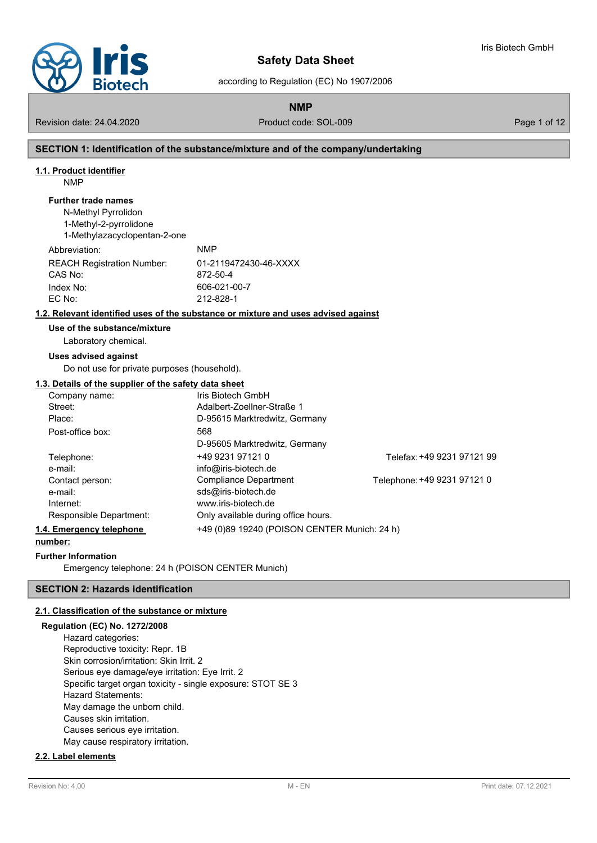

Iris Biotech GmbH

according to Regulation (EC) No 1907/2006

**NMP**

Revision date: 24.04.2020 **Product code: SOL-009** Page 1 of 12

### **SECTION 1: Identification of the substance/mixture and of the company/undertaking**

#### **1.1. Product identifier**

NMP

#### **Further trade names**

N-Methyl Pyrrolidon 1-Methyl-2-pyrrolidone 1-Methylazacyclopentan-2-one

| Abbreviation:                     | <b>NMP</b>            |
|-----------------------------------|-----------------------|
| <b>REACH Registration Number:</b> | 01-2119472430-46-XXXX |
| CAS No:                           | 872-50-4              |
| Index No:                         | 606-021-00-7          |
| EC No:                            | 212-828-1             |
|                                   |                       |

# **1.2. Relevant identified uses of the substance or mixture and uses advised against**

# **Use of the substance/mixture**

Laboratory chemical.

#### **Uses advised against**

Do not use for private purposes (household).

#### **1.3. Details of the supplier of the safety data sheet**

| Company name:            | Iris Biotech GmbH                            |                             |
|--------------------------|----------------------------------------------|-----------------------------|
| Street:                  | Adalbert-Zoellner-Straße 1                   |                             |
| Place:                   | D-95615 Marktredwitz, Germany                |                             |
| Post-office box:         | 568                                          |                             |
|                          | D-95605 Marktredwitz, Germany                |                             |
| Telephone:               | +49 9231 97121 0                             | Telefax: +49 9231 97121 99  |
| e-mail:                  | info@iris-biotech.de                         |                             |
| Contact person:          | Compliance Department                        | Telephone: +49 9231 97121 0 |
| e-mail:                  | sds@iris-biotech.de                          |                             |
| Internet:                | www.iris-biotech.de                          |                             |
| Responsible Department:  | Only available during office hours.          |                             |
| 1.4. Emergency telephone | +49 (0)89 19240 (POISON CENTER Munich: 24 h) |                             |
|                          |                                              |                             |

# **number:**

#### **Further Information**

Emergency telephone: 24 h (POISON CENTER Munich)

# **SECTION 2: Hazards identification**

#### **2.1. Classification of the substance or mixture**

# **Regulation (EC) No. 1272/2008** Hazard categories: Reproductive toxicity: Repr. 1B Skin corrosion/irritation: Skin Irrit. 2 Serious eye damage/eye irritation: Eye Irrit. 2 Specific target organ toxicity - single exposure: STOT SE 3 Hazard Statements: May damage the unborn child. Causes skin irritation. Causes serious eye irritation. May cause respiratory irritation.

# **2.2. Label elements**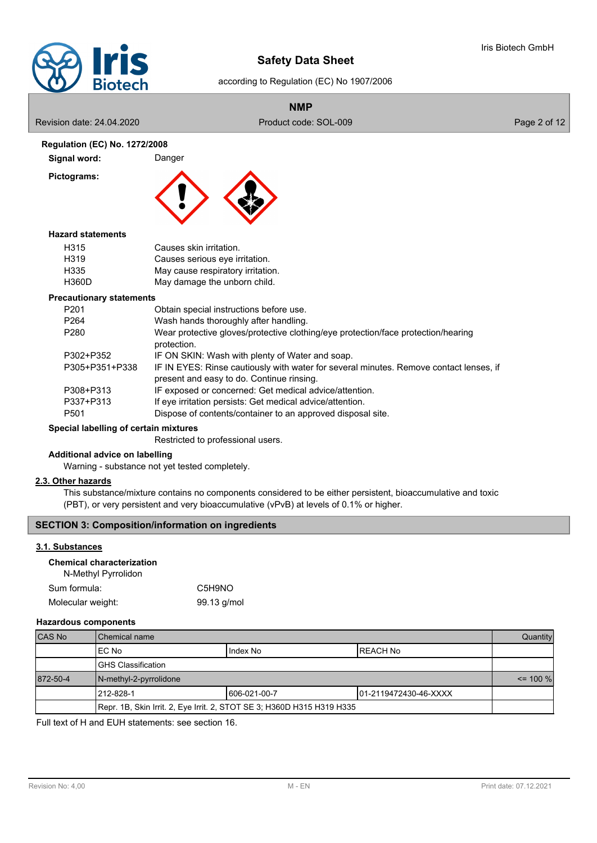

# according to Regulation (EC) No 1907/2006

# **NMP**

Revision date: 24.04.2020 **Product code: SOL-009** Product code: SOL-009 Page 2 of 12

### **Regulation (EC) No. 1272/2008**

**Pictograms:**



# **Hazard statements**

| Causes skin irritation.           |
|-----------------------------------|
| Causes serious eye irritation.    |
| May cause respiratory irritation. |
| May damage the unborn child.      |
|                                   |

**Signal word:** Danger

#### **Precautionary statements**

| P <sub>201</sub> | Obtain special instructions before use.                                                                                             |
|------------------|-------------------------------------------------------------------------------------------------------------------------------------|
| P <sub>264</sub> | Wash hands thoroughly after handling.                                                                                               |
| P280             | Wear protective gloves/protective clothing/eye protection/face protection/hearing<br>protection.                                    |
| P302+P352        | IF ON SKIN: Wash with plenty of Water and soap.                                                                                     |
| P305+P351+P338   | IF IN EYES: Rinse cautiously with water for several minutes. Remove contact lenses, if<br>present and easy to do. Continue rinsing. |
| P308+P313        | IF exposed or concerned: Get medical advice/attention.                                                                              |
| P337+P313        | If eye irritation persists: Get medical advice/attention.                                                                           |
| P <sub>501</sub> | Dispose of contents/container to an approved disposal site.                                                                         |

# **Special labelling of certain mixtures**

Restricted to professional users.

# **Additional advice on labelling**

Warning - substance not yet tested completely.

### **2.3. Other hazards**

This substance/mixture contains no components considered to be either persistent, bioaccumulative and toxic (PBT), or very persistent and very bioaccumulative (vPvB) at levels of 0.1% or higher.

# **SECTION 3: Composition/information on ingredients**

# **3.1. Substances**

# **Chemical characterization**

N-Methyl Pyrrolidon

| Sum formula:      | C5H9NO      |
|-------------------|-------------|
| Molecular weight: | 99.13 g/mol |

### **Hazardous components**

| <b>CAS No</b> | l Chemical name                                                        |  |  | Quantity    |
|---------------|------------------------------------------------------------------------|--|--|-------------|
|               | IEC No<br>IREACH No<br>I Index No                                      |  |  |             |
|               | IGHS Classification                                                    |  |  |             |
| 872-50-4      | N-methyl-2-pyrrolidone                                                 |  |  | $\le$ 100 % |
|               | 212-828-1<br>1606-021-00-7<br>101-2119472430-46-XXXX                   |  |  |             |
|               | Repr. 1B, Skin Irrit. 2, Eye Irrit. 2, STOT SE 3; H360D H315 H319 H335 |  |  |             |

Full text of H and EUH statements: see section 16.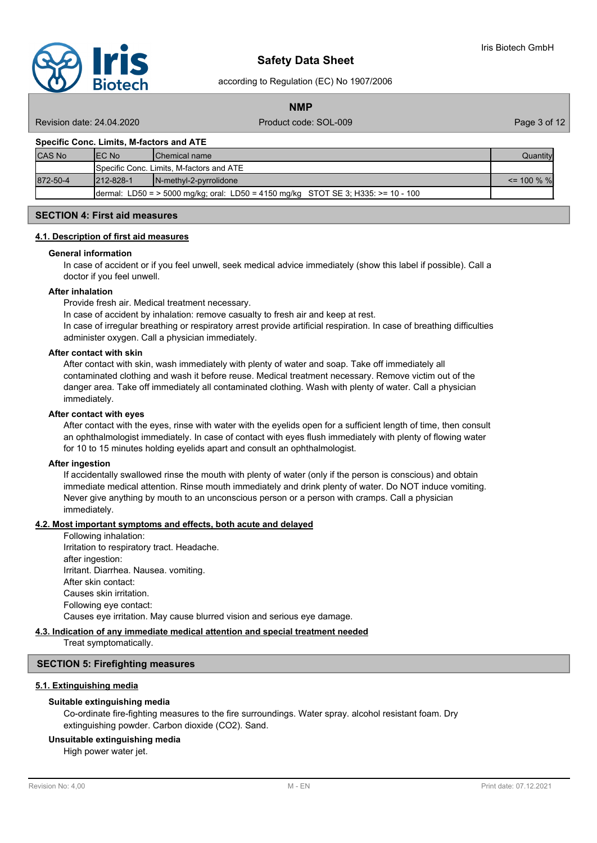

according to Regulation (EC) No 1907/2006

**NMP**

Revision date: 24.04.2020 **Product code: SOL-009** Page 3 of 12

#### **Specific Conc. Limits, M-factors and ATE**

| <b>CAS No</b> | IEC No           | <b>IChemical name</b>                                                             | Quantity       |
|---------------|------------------|-----------------------------------------------------------------------------------|----------------|
|               |                  | Specific Conc. Limits, M-factors and ATE                                          |                |
| 872-50-4      | $1212 - 828 - 1$ | $\blacksquare$ N-methyl-2-pyrrolidone                                             | $\leq$ 100 % % |
|               |                  | dermal: LD50 = > 5000 mg/kg; oral: LD50 = 4150 mg/kg STOT SE 3; H335: >= 10 - 100 |                |

# **SECTION 4: First aid measures**

#### **4.1. Description of first aid measures**

#### **General information**

In case of accident or if you feel unwell, seek medical advice immediately (show this label if possible). Call a doctor if you feel unwell.

#### **After inhalation**

Provide fresh air. Medical treatment necessary.

In case of accident by inhalation: remove casualty to fresh air and keep at rest.

In case of irregular breathing or respiratory arrest provide artificial respiration. In case of breathing difficulties administer oxygen. Call a physician immediately.

#### **After contact with skin**

After contact with skin, wash immediately with plenty of water and soap. Take off immediately all contaminated clothing and wash it before reuse. Medical treatment necessary. Remove victim out of the danger area. Take off immediately all contaminated clothing. Wash with plenty of water. Call a physician immediately.

#### **After contact with eyes**

After contact with the eyes, rinse with water with the eyelids open for a sufficient length of time, then consult an ophthalmologist immediately. In case of contact with eyes flush immediately with plenty of flowing water for 10 to 15 minutes holding eyelids apart and consult an ophthalmologist.

#### **After ingestion**

If accidentally swallowed rinse the mouth with plenty of water (only if the person is conscious) and obtain immediate medical attention. Rinse mouth immediately and drink plenty of water. Do NOT induce vomiting. Never give anything by mouth to an unconscious person or a person with cramps. Call a physician immediately.

### **4.2. Most important symptoms and effects, both acute and delayed**

Following inhalation: Irritation to respiratory tract. Headache. after ingestion: Irritant. Diarrhea. Nausea. vomiting. After skin contact: Causes skin irritation. Following eye contact: Causes eye irritation. May cause blurred vision and serious eye damage.

#### **4.3. Indication of any immediate medical attention and special treatment needed**

Treat symptomatically.

#### **SECTION 5: Firefighting measures**

#### **5.1. Extinguishing media**

#### **Suitable extinguishing media**

Co-ordinate fire-fighting measures to the fire surroundings. Water spray. alcohol resistant foam. Dry extinguishing powder. Carbon dioxide (CO2). Sand.

# **Unsuitable extinguishing media**

High power water jet.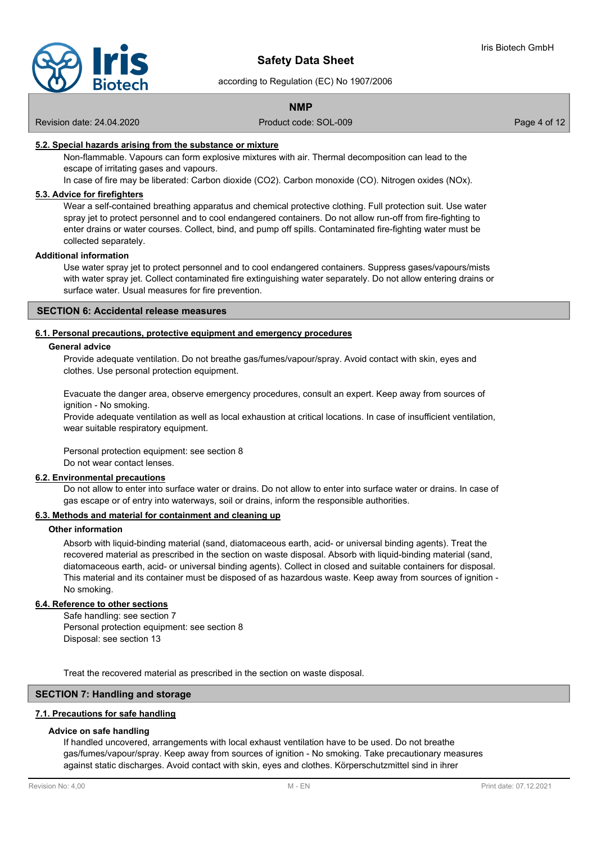

according to Regulation (EC) No 1907/2006

# **NMP**

Revision date: 24.04.2020 **Product code: SOL-009** Page 4 of 12

### **5.2. Special hazards arising from the substance or mixture**

Non-flammable. Vapours can form explosive mixtures with air. Thermal decomposition can lead to the escape of irritating gases and vapours.

In case of fire may be liberated: Carbon dioxide (CO2). Carbon monoxide (CO). Nitrogen oxides (NOx).

# **5.3. Advice for firefighters**

Wear a self-contained breathing apparatus and chemical protective clothing. Full protection suit. Use water spray jet to protect personnel and to cool endangered containers. Do not allow run-off from fire-fighting to enter drains or water courses. Collect, bind, and pump off spills. Contaminated fire-fighting water must be collected separately.

#### **Additional information**

Use water spray jet to protect personnel and to cool endangered containers. Suppress gases/vapours/mists with water spray jet. Collect contaminated fire extinguishing water separately. Do not allow entering drains or surface water. Usual measures for fire prevention.

#### **SECTION 6: Accidental release measures**

#### **6.1. Personal precautions, protective equipment and emergency procedures**

#### **General advice**

Provide adequate ventilation. Do not breathe gas/fumes/vapour/spray. Avoid contact with skin, eyes and clothes. Use personal protection equipment.

Evacuate the danger area, observe emergency procedures, consult an expert. Keep away from sources of ignition - No smoking.

Provide adequate ventilation as well as local exhaustion at critical locations. In case of insufficient ventilation, wear suitable respiratory equipment.

Personal protection equipment: see section 8 Do not wear contact lenses.

#### **6.2. Environmental precautions**

Do not allow to enter into surface water or drains. Do not allow to enter into surface water or drains. In case of gas escape or of entry into waterways, soil or drains, inform the responsible authorities.

# **6.3. Methods and material for containment and cleaning up**

#### **Other information**

Absorb with liquid-binding material (sand, diatomaceous earth, acid- or universal binding agents). Treat the recovered material as prescribed in the section on waste disposal. Absorb with liquid-binding material (sand, diatomaceous earth, acid- or universal binding agents). Collect in closed and suitable containers for disposal. This material and its container must be disposed of as hazardous waste. Keep away from sources of ignition - No smoking.

# **6.4. Reference to other sections**

Safe handling: see section 7 Personal protection equipment: see section 8 Disposal: see section 13

Treat the recovered material as prescribed in the section on waste disposal.

# **SECTION 7: Handling and storage**

# **7.1. Precautions for safe handling**

# **Advice on safe handling**

If handled uncovered, arrangements with local exhaust ventilation have to be used. Do not breathe gas/fumes/vapour/spray. Keep away from sources of ignition - No smoking. Take precautionary measures against static discharges. Avoid contact with skin, eyes and clothes. Körperschutzmittel sind in ihrer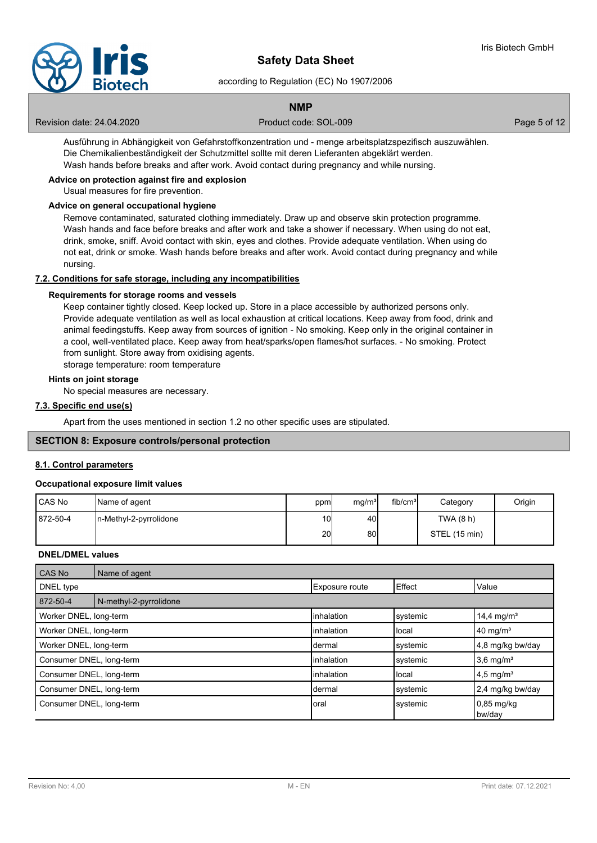

according to Regulation (EC) No 1907/2006

# **NMP**

Revision date: 24.04.2020 **Product code: SOL-009** Page 5 of 12

Ausführung in Abhängigkeit von Gefahrstoffkonzentration und - menge arbeitsplatzspezifisch auszuwählen. Die Chemikalienbeständigkeit der Schutzmittel sollte mit deren Lieferanten abgeklärt werden. Wash hands before breaks and after work. Avoid contact during pregnancy and while nursing.

# **Advice on protection against fire and explosion**

Usual measures for fire prevention.

#### **Advice on general occupational hygiene**

Remove contaminated, saturated clothing immediately. Draw up and observe skin protection programme. Wash hands and face before breaks and after work and take a shower if necessary. When using do not eat, drink, smoke, sniff. Avoid contact with skin, eyes and clothes. Provide adequate ventilation. When using do not eat, drink or smoke. Wash hands before breaks and after work. Avoid contact during pregnancy and while nursing.

# **7.2. Conditions for safe storage, including any incompatibilities**

#### **Requirements for storage rooms and vessels**

Keep container tightly closed. Keep locked up. Store in a place accessible by authorized persons only. Provide adequate ventilation as well as local exhaustion at critical locations. Keep away from food, drink and animal feedingstuffs. Keep away from sources of ignition - No smoking. Keep only in the original container in a cool, well-ventilated place. Keep away from heat/sparks/open flames/hot surfaces. - No smoking. Protect from sunlight. Store away from oxidising agents.

storage temperature: room temperature

# **Hints on joint storage**

No special measures are necessary.

#### **7.3. Specific end use(s)**

Apart from the uses mentioned in section 1.2 no other specific uses are stipulated.

# **SECTION 8: Exposure controls/personal protection**

#### **8.1. Control parameters**

#### **Occupational exposure limit values**

| <b>I</b> CAS No | Name of agent           | ppm | mg/m <sup>3</sup> | fib/cm <sup>3</sup> | Category      | Origin |
|-----------------|-------------------------|-----|-------------------|---------------------|---------------|--------|
| 872-50-4        | In-Methyl-2-pyrrolidone | 10I | 40                |                     | TWA (8 h)     |        |
|                 |                         | 20  | 80                |                     | STEL (15 min) |        |

#### **DNEL/DMEL values**

| <b>CAS No</b>            | Name of agent          |                       |                |                         |
|--------------------------|------------------------|-----------------------|----------------|-------------------------|
| DNEL type                |                        | <b>Exposure route</b> | <b>E</b> ffect | Value                   |
| 872-50-4                 | N-methyl-2-pyrrolidone |                       |                |                         |
| Worker DNEL, long-term   |                        | linhalation           | systemic       | 14,4 mg/m <sup>3</sup>  |
| Worker DNEL, long-term   |                        | linhalation           | local          | $40 \text{ mg/m}^3$     |
| Worker DNEL, long-term   |                        | Idermal               | systemic       | 4,8 mg/kg bw/day        |
| Consumer DNEL, long-term |                        | linhalation           | systemic       | $3,6$ mg/m <sup>3</sup> |
| Consumer DNEL, long-term |                        | linhalation           | Ilocal         | $4.5 \text{ mg/m}^3$    |
| Consumer DNEL, long-term |                        | Idermal               | systemic       | 2,4 mg/kg bw/day        |
| Consumer DNEL, long-term |                        | Ioral                 | systemic       | $0.85$ mg/kg<br>bw/day  |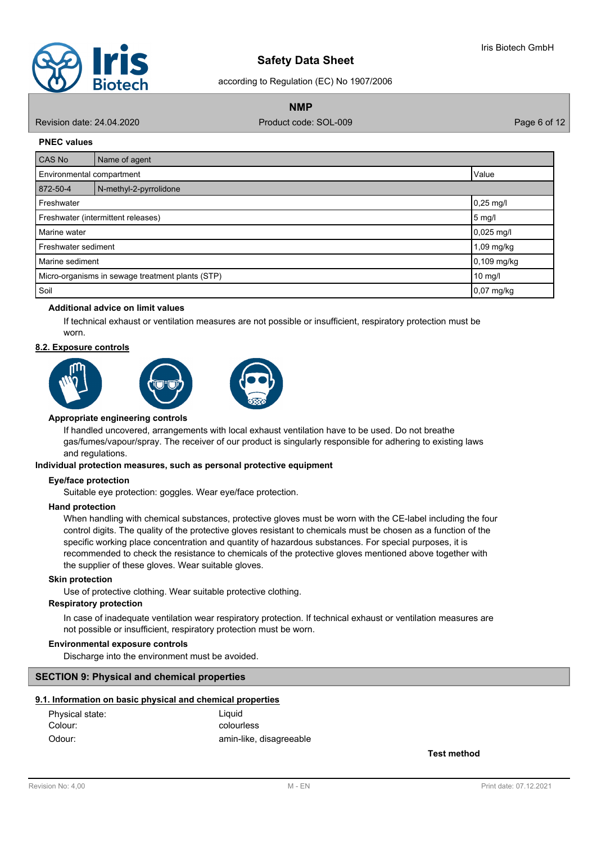

according to Regulation (EC) No 1907/2006

**NMP**

Revision date: 24.04.2020 **Product code: SOL-009** Page 6 of 12

#### **PNEC values**

| <b>CAS No</b>                                    | Name of agent          |              |  |
|--------------------------------------------------|------------------------|--------------|--|
| Value<br>Environmental compartment               |                        |              |  |
| 872-50-4                                         | N-methyl-2-pyrrolidone |              |  |
| $0,25$ mg/l<br>Freshwater                        |                        |              |  |
| Freshwater (intermittent releases)<br>$5$ mg/l   |                        |              |  |
| Marine water                                     |                        | $0,025$ mg/l |  |
| Freshwater sediment                              |                        | 1,09 mg/kg   |  |
| Marine sediment                                  |                        | 0,109 mg/kg  |  |
| Micro-organisms in sewage treatment plants (STP) |                        | 10 mg/l      |  |
| Soil                                             |                        | 0,07 mg/kg   |  |

# **Additional advice on limit values**

If technical exhaust or ventilation measures are not possible or insufficient, respiratory protection must be worn.

#### **8.2. Exposure controls**



#### **Appropriate engineering controls**

If handled uncovered, arrangements with local exhaust ventilation have to be used. Do not breathe gas/fumes/vapour/spray. The receiver of our product is singularly responsible for adhering to existing laws and regulations.

#### **Individual protection measures, such as personal protective equipment**

#### **Eye/face protection**

Suitable eye protection: goggles. Wear eye/face protection.

#### **Hand protection**

When handling with chemical substances, protective gloves must be worn with the CE-label including the four control digits. The quality of the protective gloves resistant to chemicals must be chosen as a function of the specific working place concentration and quantity of hazardous substances. For special purposes, it is recommended to check the resistance to chemicals of the protective gloves mentioned above together with the supplier of these gloves. Wear suitable gloves.

#### **Skin protection**

Use of protective clothing. Wear suitable protective clothing.

### **Respiratory protection**

In case of inadequate ventilation wear respiratory protection. If technical exhaust or ventilation measures are not possible or insufficient, respiratory protection must be worn.

#### **Environmental exposure controls**

Discharge into the environment must be avoided.

#### **SECTION 9: Physical and chemical properties**

### **9.1. Information on basic physical and chemical properties**

| Physical state: | Liauid                  |
|-----------------|-------------------------|
| Colour:         | colourless              |
| Odour:          | amin-like, disagreeable |

**Test method**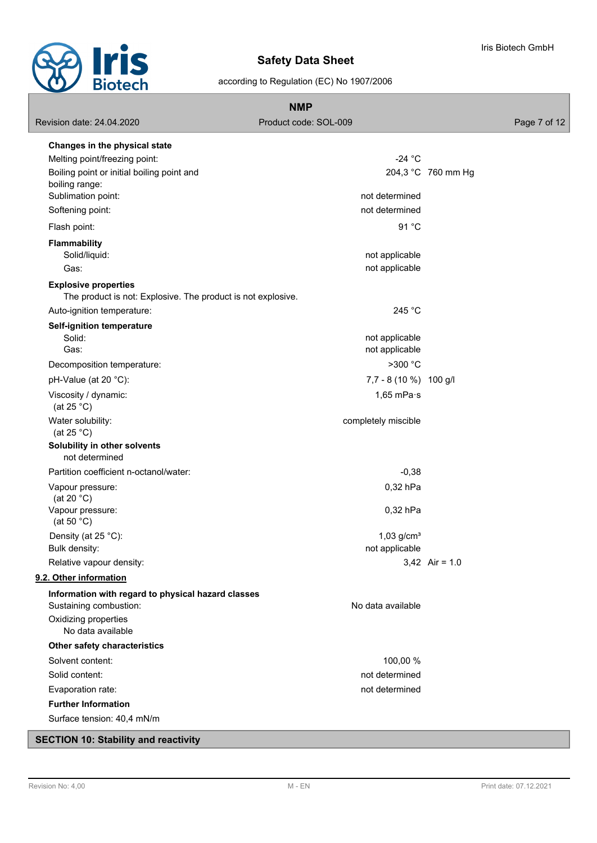

Iris Biotech GmbH

according to Regulation (EC) No 1907/2006

| <b>NMP</b>                                                                                  |                          |                    |              |
|---------------------------------------------------------------------------------------------|--------------------------|--------------------|--------------|
| Revision date: 24.04.2020                                                                   | Product code: SOL-009    |                    | Page 7 of 12 |
| Changes in the physical state                                                               |                          |                    |              |
| Melting point/freezing point:                                                               | $-24$ °C                 |                    |              |
| Boiling point or initial boiling point and                                                  |                          | 204,3 °C 760 mm Hg |              |
| boiling range:                                                                              |                          |                    |              |
| Sublimation point:                                                                          | not determined           |                    |              |
| Softening point:                                                                            | not determined           |                    |              |
| Flash point:                                                                                | 91 °C                    |                    |              |
| <b>Flammability</b>                                                                         |                          |                    |              |
| Solid/liquid:                                                                               | not applicable           |                    |              |
| Gas:                                                                                        | not applicable           |                    |              |
| <b>Explosive properties</b><br>The product is not: Explosive. The product is not explosive. |                          |                    |              |
| Auto-ignition temperature:                                                                  | 245 °C                   |                    |              |
|                                                                                             |                          |                    |              |
| Self-ignition temperature<br>Solid:                                                         | not applicable           |                    |              |
| Gas:                                                                                        | not applicable           |                    |              |
| Decomposition temperature:                                                                  | >300 °C                  |                    |              |
| pH-Value (at 20 °C):                                                                        | 7,7 - 8 (10 %) 100 g/l   |                    |              |
| Viscosity / dynamic:                                                                        | 1,65 mPa $\cdot$ s       |                    |              |
| (at $25 °C$ )                                                                               |                          |                    |              |
| Water solubility:                                                                           | completely miscible      |                    |              |
| (at $25 °C$ )                                                                               |                          |                    |              |
| Solubility in other solvents<br>not determined                                              |                          |                    |              |
| Partition coefficient n-octanol/water:                                                      | $-0,38$                  |                    |              |
|                                                                                             |                          |                    |              |
| Vapour pressure:<br>(at 20 $°C$ )                                                           | 0,32 hPa                 |                    |              |
| Vapour pressure:                                                                            | 0,32 hPa                 |                    |              |
| (at 50 $°C$ )                                                                               |                          |                    |              |
| Density (at 25 °C):                                                                         | $1,03$ g/cm <sup>3</sup> |                    |              |
| Bulk density:                                                                               | not applicable           |                    |              |
| Relative vapour density:                                                                    |                          | 3,42 Air = $1.0$   |              |
| 9.2. Other information                                                                      |                          |                    |              |
| Information with regard to physical hazard classes                                          |                          |                    |              |
| Sustaining combustion:                                                                      | No data available        |                    |              |
| Oxidizing properties<br>No data available                                                   |                          |                    |              |
| Other safety characteristics                                                                |                          |                    |              |
| Solvent content:                                                                            | 100,00 %                 |                    |              |
| Solid content:                                                                              | not determined           |                    |              |
| Evaporation rate:                                                                           | not determined           |                    |              |
| <b>Further Information</b>                                                                  |                          |                    |              |
| Surface tension: 40,4 mN/m                                                                  |                          |                    |              |
| <b>SECTION 10: Stability and reactivity</b>                                                 |                          |                    |              |

# **SECTION 10: Stability and reactivity**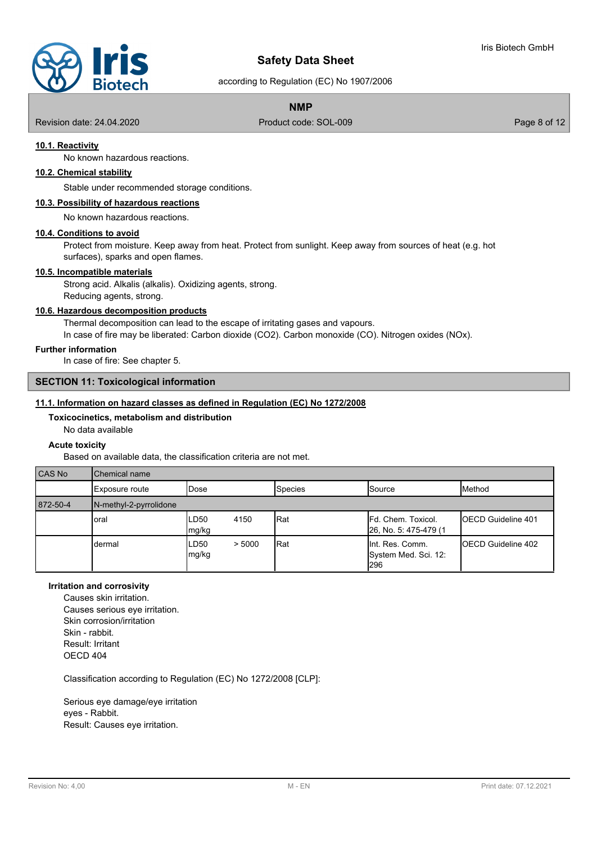

according to Regulation (EC) No 1907/2006

# **NMP**

Revision date: 24.04.2020 **Product code: SOL-009** Page 8 of 12

# **10.1. Reactivity**

No known hazardous reactions.

# **10.2. Chemical stability**

Stable under recommended storage conditions.

# **10.3. Possibility of hazardous reactions**

No known hazardous reactions.

# **10.4. Conditions to avoid**

Protect from moisture. Keep away from heat. Protect from sunlight. Keep away from sources of heat (e.g. hot surfaces), sparks and open flames.

#### **10.5. Incompatible materials**

Strong acid. Alkalis (alkalis). Oxidizing agents, strong. Reducing agents, strong.

# **10.6. Hazardous decomposition products**

Thermal decomposition can lead to the escape of irritating gases and vapours. In case of fire may be liberated: Carbon dioxide (CO2). Carbon monoxide (CO). Nitrogen oxides (NOx).

**Further information**

In case of fire: See chapter 5.

#### **SECTION 11: Toxicological information**

#### **11.1. Information on hazard classes as defined in Regulation (EC) No 1272/2008**

**Toxicocinetics, metabolism and distribution**

No data available

#### **Acute toxicity**

Based on available data, the classification criteria are not met.

| <b>CAS No</b> | <b>Chemical name</b>   |                                   |  |                |                                                  |                            |
|---------------|------------------------|-----------------------------------|--|----------------|--------------------------------------------------|----------------------------|
|               | Exposure route         | IDose                             |  | <b>Species</b> | Source                                           | Method                     |
| 872-50-4      | N-methyl-2-pyrrolidone |                                   |  |                |                                                  |                            |
|               | oral                   | LD <sub>50</sub><br>4150<br>mg/kg |  | Rat            | Fd. Chem. Toxicol.<br>26, No. 5: 475-479 (1      | <b>IOECD Guideline 401</b> |
|               | dermal                 | ILD50<br>> 5000<br>mg/kg          |  | Rat            | lint. Res. Comm.<br>System Med. Sci. 12:<br>l296 | <b>IOECD Guideline 402</b> |

# **Irritation and corrosivity**

Causes skin irritation. Causes serious eye irritation. Skin corrosion/irritation Skin - rabbit. Result: Irritant OECD 404

Classification according to Regulation (EC) No 1272/2008 [CLP]:

Serious eye damage/eye irritation eyes - Rabbit. Result: Causes eye irritation.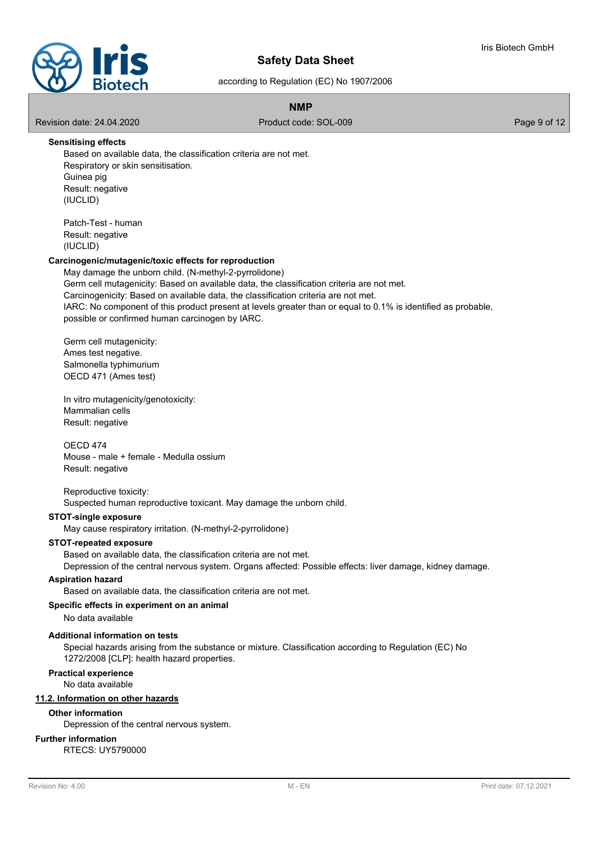

according to Regulation (EC) No 1907/2006

# **NMP**

Revision date: 24.04.2020 **Product code: SOL-009** Page 9 of 12

#### **Sensitising effects**

Based on available data, the classification criteria are not met. Respiratory or skin sensitisation. Guinea pig Result: negative (IUCLID)

Patch-Test - human Result: negative (IUCLID)

# **Carcinogenic/mutagenic/toxic effects for reproduction**

May damage the unborn child. (N-methyl-2-pyrrolidone) Germ cell mutagenicity: Based on available data, the classification criteria are not met. Carcinogenicity: Based on available data, the classification criteria are not met. IARC: No component of this product present at levels greater than or equal to 0.1% is identified as probable, possible or confirmed human carcinogen by IARC.

Germ cell mutagenicity: Ames test negative. Salmonella typhimurium OECD 471 (Ames test)

In vitro mutagenicity/genotoxicity: Mammalian cells Result: negative

# OECD 474

Mouse - male + female - Medulla ossium Result: negative

# Reproductive toxicity:

Suspected human reproductive toxicant. May damage the unborn child.

#### **STOT-single exposure**

May cause respiratory irritation. (N-methyl-2-pyrrolidone)

#### **STOT-repeated exposure**

Based on available data, the classification criteria are not met.

Depression of the central nervous system. Organs affected: Possible effects: liver damage, kidney damage.

#### **Aspiration hazard**

Based on available data, the classification criteria are not met.

# **Specific effects in experiment on an animal**

No data available

# **Additional information on tests**

Special hazards arising from the substance or mixture. Classification according to Regulation (EC) No 1272/2008 [CLP]: health hazard properties.

# **Practical experience**

No data available

# **11.2. Information on other hazards**

#### **Other information**

Depression of the central nervous system.

# **Further information**

RTECS: UY5790000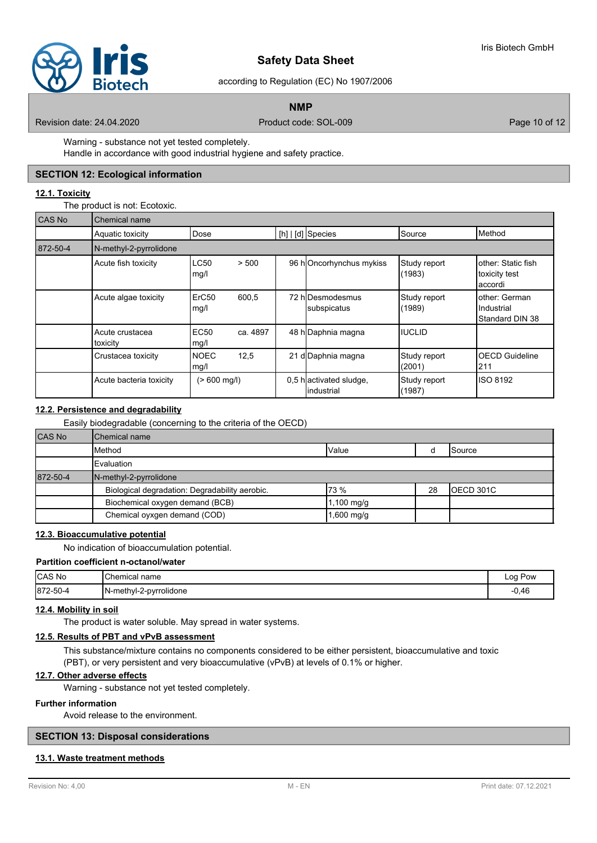

according to Regulation (EC) No 1907/2006

# **NMP**

Revision date: 24.04.2020 **Product code: SOL-009** Product code: SOL-009 Page 10 of 12

Warning - substance not yet tested completely.

Handle in accordance with good industrial hygiene and safety practice.

#### **SECTION 12: Ecological information**

#### **12.1. Toxicity**

The product is not: Ecotoxic.

| CAS No   | Chemical name               |                           |          |  |                                       |                        |                                                |
|----------|-----------------------------|---------------------------|----------|--|---------------------------------------|------------------------|------------------------------------------------|
|          | Aquatic toxicity            | Dose                      |          |  | [h]   [d] Species                     | Source                 | Method                                         |
| 872-50-4 | N-methyl-2-pyrrolidone      |                           |          |  |                                       |                        |                                                |
|          | Acute fish toxicity         | <b>LC50</b><br>mg/l       | > 500    |  | 96 hOncorhynchus mykiss               | Study report<br>(1983) | other: Static fish<br>toxicity test<br>accordi |
|          | Acute algae toxicity        | ErC <sub>50</sub><br>mg/l | 600,5    |  | 72 hIDesmodesmus<br>subspicatus       | Study report<br>(1989) | other: German<br>Industrial<br>Standard DIN 38 |
|          | Acute crustacea<br>toxicity | <b>EC50</b><br>mg/l       | ca. 4897 |  | 48 h Daphnia magna                    | <b>IIUCLID</b>         |                                                |
|          | Crustacea toxicity          | <b>NOEC</b><br>mg/l       | 12,5     |  | 21 d Daphnia magna                    | Study report<br>(2001) | OECD Guideline<br>211                          |
|          | Acute bacteria toxicity     | $(>600 \text{ mg/l})$     |          |  | 0,5 hactivated sludge,<br>lindustrial | Study report<br>(1987) | <b>ISO 8192</b>                                |

# **12.2. Persistence and degradability**

Easily biodegradable (concerning to the criteria of the OECD)

| <b>CAS No</b> | Chemical name                                  |              |    |                |
|---------------|------------------------------------------------|--------------|----|----------------|
|               | Method                                         | Value        |    | <b>ISource</b> |
|               | <b>I</b> Evaluation                            |              |    |                |
| 872-50-4      | N-methyl-2-pyrrolidone                         |              |    |                |
|               | Biological degradation: Degradability aerobic. | 173%         | 28 | IOECD 301C     |
|               | Biochemical oxygen demand (BCB)                | ,100 mg/g    |    |                |
|               | Chemical oyxgen demand (COD)                   | $1,600$ mg/g |    |                |

# **12.3. Bioaccumulative potential**

No indication of bioaccumulation potential.

# **Partition coefficient n-octanol/water**

| CAS No   | <b>Chemical name</b>   | Pow<br>Log |
|----------|------------------------|------------|
| 872-50-4 | N-methyl-2-pyrrolidone | 0,46       |

#### **12.4. Mobility in soil**

The product is water soluble. May spread in water systems.

#### **12.5. Results of PBT and vPvB assessment**

This substance/mixture contains no components considered to be either persistent, bioaccumulative and toxic (PBT), or very persistent and very bioaccumulative (vPvB) at levels of 0.1% or higher.

### **12.7. Other adverse effects**

Warning - substance not yet tested completely.

# **Further information**

Avoid release to the environment.

# **SECTION 13: Disposal considerations**

# **13.1. Waste treatment methods**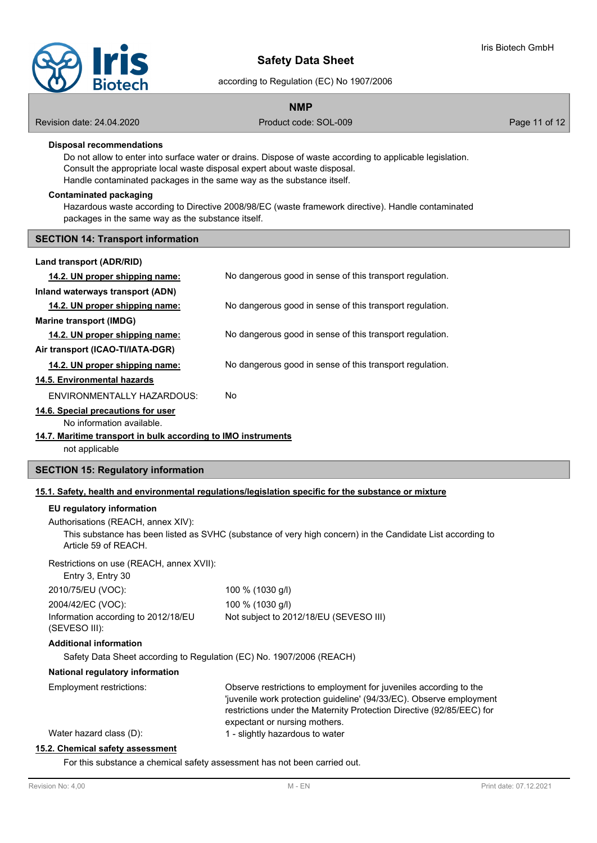

according to Regulation (EC) No 1907/2006

# **NMP**

Revision date: 24.04.2020 **Product code: SOL-009** Product code: SOL-009 Page 11 of 12

# **Disposal recommendations**

Do not allow to enter into surface water or drains. Dispose of waste according to applicable legislation. Consult the appropriate local waste disposal expert about waste disposal. Handle contaminated packages in the same way as the substance itself.

#### **Contaminated packaging**

Hazardous waste according to Directive 2008/98/EC (waste framework directive). Handle contaminated packages in the same way as the substance itself.

#### **SECTION 14: Transport information**

| 14.2. UN proper shipping name:                                | No dangerous good in sense of this transport regulation. |
|---------------------------------------------------------------|----------------------------------------------------------|
| Inland waterways transport (ADN)                              |                                                          |
| 14.2. UN proper shipping name:                                | No dangerous good in sense of this transport regulation. |
| Marine transport (IMDG)                                       |                                                          |
| 14.2. UN proper shipping name:                                | No dangerous good in sense of this transport regulation. |
| Air transport (ICAO-TI/IATA-DGR)                              |                                                          |
| 14.2. UN proper shipping name:                                | No dangerous good in sense of this transport regulation. |
| 14.5. Environmental hazards                                   |                                                          |
| FNVIRONMENTALLY HAZARDOUS:                                    | No.                                                      |
| 14.6. Special precautions for user                            |                                                          |
| No information available.                                     |                                                          |
| 14.7. Maritime transport in bulk according to IMO instruments |                                                          |
| not applicable                                                |                                                          |
|                                                               |                                                          |

# **SECTION 15: Regulatory information**

# **15.1. Safety, health and environmental regulations/legislation specific for the substance or mixture**

# **EU regulatory information**

Authorisations (REACH, annex XIV): This substance has been listed as SVHC (substance of very high concern) in the Candidate List according to Article 59 of REACH.

Restrictions on use (REACH, annex XVII):

| Entry 3, Entry 30                                    |                                                                                                                                                                                                                                                    |
|------------------------------------------------------|----------------------------------------------------------------------------------------------------------------------------------------------------------------------------------------------------------------------------------------------------|
| 2010/75/EU (VOC):                                    | 100 % (1030 g/l)                                                                                                                                                                                                                                   |
| 2004/42/EC (VOC):                                    | 100 % (1030 g/l)                                                                                                                                                                                                                                   |
| Information according to 2012/18/EU<br>(SEVESO III): | Not subject to 2012/18/EU (SEVESO III)                                                                                                                                                                                                             |
| <b>Additional information</b>                        |                                                                                                                                                                                                                                                    |
|                                                      | Safety Data Sheet according to Regulation (EC) No. 1907/2006 (REACH)                                                                                                                                                                               |
| National regulatory information                      |                                                                                                                                                                                                                                                    |
| Employment restrictions:                             | Observe restrictions to employment for juveniles according to the<br>'juvenile work protection guideline' (94/33/EC). Observe employment<br>restrictions under the Maternity Protection Directive (92/85/EEC) for<br>expectant or nursing mothers. |
|                                                      |                                                                                                                                                                                                                                                    |

Water hazard class (D): 1 - slightly hazardous to water

#### **15.2. Chemical safety assessment**

For this substance a chemical safety assessment has not been carried out.